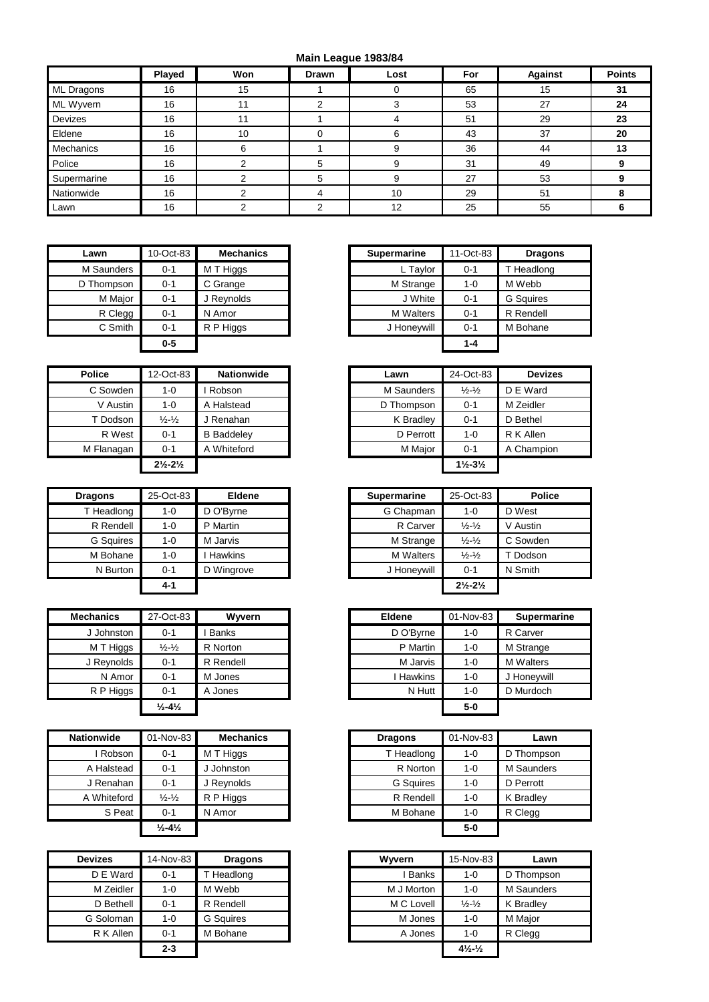## **Main League 1983/84**

|             | Played | Won | Drawn | Lost | For | <b>Against</b> | <b>Points</b> |
|-------------|--------|-----|-------|------|-----|----------------|---------------|
| ML Dragons  | 16     | 15  |       |      | 65  | 15             | 31            |
| ML Wyvern   | 16     | 11  | ົ     |      | 53  | 27             | 24            |
| Devizes     | 16     | 11  |       |      | 51  | 29             | 23            |
| Eldene      | 16     | 10  |       |      | 43  | 37             | 20            |
| Mechanics   | 16     | 6   |       |      | 36  | 44             | 13            |
| Police      | 16     |     |       |      | 31  | 49             |               |
| Supermarine | 16     |     | 5     |      | 27  | 53             |               |
| Nationwide  | 16     |     | 4     | 10   | 29  | 51             |               |
| Lawn        | 16     |     |       | 12   | 25  | 55             |               |

| Lawn       | 10-Oct-83 | <b>Mechanics</b> | <b>Supermarine</b> | 11-Oct-83 |
|------------|-----------|------------------|--------------------|-----------|
| M Saunders | $0 - 1$   | M T Higgs        | L Taylor           | $0 - 1$   |
| D Thompson | $0 - 1$   | C Grange         | M Strange          | $1 - 0$   |
| M Major    | $0 - 1$   | J Reynolds       | J White            | $0 - 1$   |
| R Clegg    | $0 - 1$   | N Amor           | <b>M</b> Walters   | $0 - 1$   |
| C Smith    | $0 - 1$   | R P Higgs        | J Honeywill        | $0 - 1$   |
|            | $0-5$     |                  |                    | $1 - 4$   |

| <b>Police</b> | 12-Oct-83                     | <b>Nationwide</b> |  | Lawn       | 24-Oct-83                     |           |
|---------------|-------------------------------|-------------------|--|------------|-------------------------------|-----------|
| C Sowden      | 1-0                           | Robson            |  | M Saunders | $\frac{1}{2} - \frac{1}{2}$   | D E War   |
| V Austin      | $1 - 0$                       | A Halstead        |  | D Thompson | $0 - 1$                       | M Zeidle  |
| T Dodson      | $\frac{1}{2} - \frac{1}{2}$   | J Renahan         |  | K Bradley  | $0 - 1$                       | D Bethel  |
| R West        | $0 - 1$                       | <b>B</b> Baddeley |  | D Perrott  | $1 - 0$                       | R K Aller |
| M Flanagan    | $0 - 1$                       | A Whiteford       |  | M Major    | $0 - 1$                       | A Chami   |
|               | $2\frac{1}{2} - 2\frac{1}{2}$ |                   |  |            | $1\frac{1}{2} - 3\frac{1}{2}$ |           |

| <b>Dragons</b>   | 25-Oct-83 | <b>Eldene</b>  | <b>Supermarine</b> | 25-Oct-83                     | P0       |
|------------------|-----------|----------------|--------------------|-------------------------------|----------|
| T Headlong       | 1-0       | D O'Byrne      | G Chapman          | $1 - 0$                       | D West   |
| R Rendell        | $1 - 0$   | P Martin       | R Carver           | $\frac{1}{2} - \frac{1}{2}$   | V Austin |
| <b>G</b> Squires | $1 - 0$   | M Jarvis       | M Strange          | $\frac{1}{2} - \frac{1}{2}$   | C Sowd   |
| M Bohane         | $1 - 0$   | <b>Hawkins</b> | <b>M</b> Walters   | $\frac{1}{2} - \frac{1}{2}$   | T Dodsc  |
| N Burton         | $0 - 1$   | D Wingrove     | J Honeywill        | $0 - 1$                       | N Smith  |
|                  | $4 - 1$   |                |                    | $2\frac{1}{2} - 2\frac{1}{2}$ |          |

| <b>Mechanics</b> | 27-Oct-83                    | Wyvern       | <b>Eldene</b> | 01-Nov-83 | Supern           |
|------------------|------------------------------|--------------|---------------|-----------|------------------|
| J Johnston       | $0 - 1$                      | <b>Banks</b> | D O'Byrne     | $1 - 0$   | R Carver         |
| M T Higgs        | $\frac{1}{2} - \frac{1}{2}$  | R Norton     | P Martin      | $1 - 0$   | M Strange        |
| J Revnolds       | $0 - 1$                      | R Rendell    | M Jarvis      | $1 - 0$   | <b>M</b> Walters |
| N Amor           | $0 - 1$                      | M Jones      | Hawkins       | $1 - 0$   | J Honeyw         |
| R P Higgs        | $0 - 1$                      | A Jones      | N Hutt        | $1 - 0$   | D Murdoc         |
|                  | $\frac{1}{2} - 4\frac{1}{2}$ |              |               | $5-0$     |                  |

| <b>Nationwide</b> | 01-Nov-83                    | <b>Mechanics</b> | <b>Dragons</b> | 01-Nov-83 | Lawn       |
|-------------------|------------------------------|------------------|----------------|-----------|------------|
| Robson            | $0 - 1$                      | M T Higgs        | T Headlong     | $1 - 0$   | D Thompsor |
| A Halstead        | $0 - 1$                      | J Johnston       | R Norton       | $1 - 0$   | M Saunders |
| J Renahan         | $0 - 1$                      | J Reynolds       | G Squires      | $1 - 0$   | D Perrott  |
| A Whiteford       | $\frac{1}{2} - \frac{1}{2}$  | R P Higgs        | R Rendell      | $1 - 0$   | K Bradley  |
| S Peat            | $0 - 1$                      | N Amor           | M Bohane       | $1 - 0$   | R Clegg    |
|                   | $\frac{1}{2} - 4\frac{1}{2}$ |                  |                | $5-0$     |            |

| <b>Devizes</b> | 14-Nov-83 | <b>Dragons</b>   | Wyvern     | 15-Nov-83                      |
|----------------|-----------|------------------|------------|--------------------------------|
| D E Ward       | $0 - 1$   | Headlong         | Banks      | $1 - 0$                        |
| M Zeidler      | 1-0       | M Webb           | M J Morton | 1-0                            |
| D Bethell      | $0 - 1$   | R Rendell        | M C Lovell | $\frac{1}{2} - \frac{1}{2}$    |
| G Soloman      | $1 - 0$   | <b>G</b> Sauires | M Jones    | $1 - 0$                        |
| R K Allen      | $0 - 1$   | M Bohane         | A Jones    | $1 - 0$                        |
|                | $2 - 3$   |                  |            | $4\frac{1}{2}$ - $\frac{1}{2}$ |

| Lawn       | 10-Oct-83 | <b>Mechanics</b> | <b>Supermarine</b> | 11-Oct-83 | <b>Dragons</b>   |
|------------|-----------|------------------|--------------------|-----------|------------------|
| M Saunders | $0 - 1$   | M T Higgs        | L Taylor           | $0 - 1$   | T Headlong       |
| Thompson ر | $0 - 1$   | C Grange         | M Strange          | $1 - 0$   | M Webb           |
| M Major    | $0 - 1$   | J Reynolds       | J White            | $0 - 1$   | <b>G</b> Squires |
| R Clegg    | $0 - 1$   | N Amor           | <b>M</b> Walters   | $0 - 1$   | R Rendell        |
| C Smith    | $0 - 1$   | R P Higgs        | J Honeywill        | $0 - 1$   | M Bohane         |
|            | $0-5$     |                  |                    | 1-4       |                  |

| Police     | 12-Oct-83                     | <b>Nationwide</b> | Lawn       | 24-Oct-83                     | <b>Devizes</b> |
|------------|-------------------------------|-------------------|------------|-------------------------------|----------------|
| C Sowden   | $1 - 0$                       | Robson            | M Saunders | $\frac{1}{2} - \frac{1}{2}$   | D E Ward       |
| V Austin   | $1 - 0$                       | Halstead<br>A     | D Thompson | $0 - 1$                       | M Zeidler      |
| T Dodson   | $\frac{1}{2} - \frac{1}{2}$   | J Renahan         | K Bradley  | $0 - 1$                       | D Bethel       |
| R West     | $0 - 1$                       | <b>B</b> Baddelev | D Perrott  | 1-0                           | R K Allen      |
| M Flanagan | $0 - 1$                       | A Whiteford       | M Major    | $0 - 1$                       | A Champion     |
|            | $2\frac{1}{2} - 2\frac{1}{2}$ |                   |            | $1\frac{1}{2} - 3\frac{1}{2}$ |                |

| <b>Dragons</b>   | 25-Oct-83 | <b>Eldene</b>  |
|------------------|-----------|----------------|
| T Headlong       | $1 - 0$   | D O'Bvrne      |
| R Rendell        | $1 - 0$   | P Martin       |
| <b>G</b> Sauires | $1 - 0$   | M Jarvis       |
| M Bohane         | $1 - 0$   | <b>Hawkins</b> |
| N Burton         | $0 - 1$   | D Wingrove     |
|                  | $4 - 1$   |                |

| Mechanics  | 27-Oct-83                    | Wyvern       | Eldene    | 01-Nov-83 | <b>Supermarine</b> |
|------------|------------------------------|--------------|-----------|-----------|--------------------|
| J Johnston | $0 - 1$                      | <b>Banks</b> | D O'Byrne | $1 - 0$   | R Carver           |
| M T Higgs  | $\frac{1}{2} - \frac{1}{2}$  | R Norton     | P Martin  | $1 - 0$   | M Strange          |
| J Reynolds | $0 - 1$                      | R Rendell    | M Jarvis  | $1 - 0$   | <b>M</b> Walters   |
| N Amor     | $0 - 1$                      | M Jones      | Hawkins   | $1 - 0$   | J Honeywill        |
| R P Higgs  | $0 - 1$                      | A Jones      | N Hutt    | $1 - 0$   | D Murdoch          |
|            | $\frac{1}{2} - 4\frac{1}{2}$ |              |           | $5-0$     |                    |

| onwide        | 01-Nov-83                    | <b>Mechanics</b> | <b>Dragons</b>   | 01-Nov-83 | Lawn       |
|---------------|------------------------------|------------------|------------------|-----------|------------|
| <b>Robson</b> | $0 - 1$                      | M T Higgs        | T Headlong       | 1-0       | D Thompson |
| A Halstead    | $0 - 1$                      | Johnston         | R Norton         | $1 - 0$   | M Saunders |
| J Renahan     | $0 - 1$                      | J Reynolds       | <b>G</b> Squires | $1 - 0$   | D Perrott  |
| Whiteford     | $\frac{1}{2} - \frac{1}{2}$  | R P Higgs        | R Rendell        | $1 - 0$   | K Bradley  |
| S Peat        | $0 - 1$                      | N Amor           | M Bohane         | $1 - 0$   | R Clegg    |
|               | $\frac{1}{2} - 4\frac{1}{2}$ |                  |                  | $5-0$     |            |

| <i>r</i> izes | 14-Nov-83 | <b>Dragons</b>   | <b>Wyvern</b> | 15-Nov-83                      | Lawn       |
|---------------|-----------|------------------|---------------|--------------------------------|------------|
| D E Ward      | $0 - 1$   | T Headlong       | <b>Banks</b>  | $1 - 0$                        | D Thompson |
| M Zeidler     | $1 - 0$   | M Webb           | M J Morton    | $1 - 0$                        | M Saunders |
| D Bethell     | $0 - 1$   | R Rendell        | M C Lovell    | $\frac{1}{2} - \frac{1}{2}$    | K Bradley  |
| Soloman       | 1-0       | <b>G</b> Sauires | M Jones       | $1 - 0$                        | M Major    |
| R K Allen     | $0 - 1$   | M Bohane         | A Jones       | 1-0                            | R Clegg    |
|               | $2 - 3$   |                  |               | $4\frac{1}{2}$ - $\frac{1}{2}$ |            |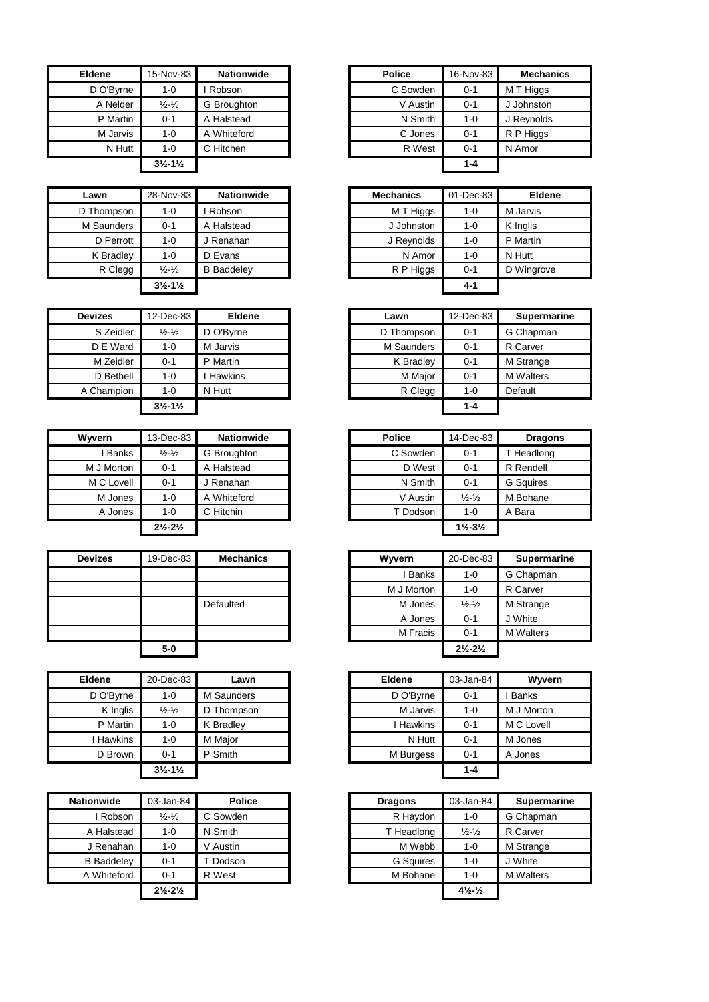| <b>Eldene</b> | 15-Nov-83                     | <b>Nationwide</b> | <b>Police</b> | 16-Nov  |
|---------------|-------------------------------|-------------------|---------------|---------|
| D O'Byrne     | 1-0                           | Robson            | C Sowden      | $0 - 1$ |
| A Nelder      | $\frac{1}{2} - \frac{1}{2}$   | G Broughton       | V Austin      | $0 - 1$ |
| P Martin      | $0 - 1$                       | A Halstead        | N Smith       | $1 - 0$ |
| M Jarvis      | 1-0                           | A Whiteford       | C Jones       | $0 - 1$ |
| N Hutt        | $1 - 0$                       | C Hitchen         | R West        | $0 - 1$ |
|               | $3\frac{1}{2} - 1\frac{1}{2}$ |                   |               | $1 - 4$ |

| Lawn       | 28-Nov-83                     | <b>Nationwide</b> | <b>Mechanics</b> | 01-Dec-83 |          |
|------------|-------------------------------|-------------------|------------------|-----------|----------|
| D Thompson | $1 - 0$                       | Robson            | M T Higgs        | 1-0       | M Jarvis |
| M Saunders | $0 - 1$                       | A Halstead        | J Johnston       | $1 - 0$   | K Inglis |
| D Perrott  | $1 - 0$                       | J Renahan         | J Reynolds       | $1 - 0$   | P Martin |
| K Bradley  | $1 - 0$                       | D Evans           | N Amor           | $1 - 0$   | N Hutt   |
| R Clegg    | $\frac{1}{2} - \frac{1}{2}$   | <b>B</b> Baddeley | R P Higgs        | $0 - 1$   | D Wingr  |
|            | $3\frac{1}{2} - 1\frac{1}{2}$ |                   |                  | $4 - 1$   |          |

| <b>Devizes</b> | 12-Dec-83                     | <b>Eldene</b>  | Lawn       | 12-Dec-83 | <b>Sup</b> |
|----------------|-------------------------------|----------------|------------|-----------|------------|
| S Zeidler      | $\frac{1}{2}$ - $\frac{1}{2}$ | D O'Bvrne      | D Thompson | $0 - 1$   | G Chap     |
| D E Ward       | $1 - 0$                       | M Jarvis       | M Saunders | $0 - 1$   | R Carv     |
| M Zeidler      | $0 - 1$                       | P Martin       | K Bradley  | $0 - 1$   | M Strai    |
| D Bethell      | $1 - 0$                       | <b>Hawkins</b> | M Major    | $0 - 1$   | M Walt     |
| A Champion     | $1 - 0$                       | N Hutt         | R Clegg    | 1-0       | Default    |
|                | $3\frac{1}{2} - 1\frac{1}{2}$ |                |            | $1 - 4$   |            |

| <b>Wyvern</b> | 13-Dec-83                     | <b>Nationwide</b> | <b>Police</b> | 14-Dec-83                     | Drag             |
|---------------|-------------------------------|-------------------|---------------|-------------------------------|------------------|
| <b>Banks</b>  | $\frac{1}{2} - \frac{1}{2}$   | G Broughton       | C Sowden      | $0 - 1$                       | T Headlor        |
| M J Morton    | $0 - 1$                       | A Halstead        | D West        | $0 - 1$                       | R Rendell        |
| M C Lovell    | $0 - 1$                       | Renahan           | N Smith       | $0 - 1$                       | <b>G</b> Squires |
| M Jones       | $1 - 0$                       | A Whiteford       | V Austin      | $\frac{1}{2} - \frac{1}{2}$   | M Bohane         |
| A Jones       | $1 - 0$                       | C Hitchin         | T Dodson      | $1 - 0$                       | A Bara           |
|               | $2\frac{1}{2} - 2\frac{1}{2}$ |                   |               | $1\frac{1}{2} - 3\frac{1}{2}$ |                  |

| <b>Devizes</b> | 19-Dec-83 | <b>Mechanics</b> |
|----------------|-----------|------------------|
|                |           |                  |
|                |           |                  |
|                |           | Defaulted        |
|                |           |                  |
|                |           |                  |
|                |           |                  |

| <b>Eldene</b> | 20-Dec-83                     | Lawn       | <b>Eldene</b> | 03-Jan-84 | W       |
|---------------|-------------------------------|------------|---------------|-----------|---------|
| D O'Byrne     | $1 - 0$                       | M Saunders | D O'Byrne     | $0 - 1$   | Banks   |
| K Inglis      | $\frac{1}{2} - \frac{1}{2}$   | D Thompson | M Jarvis      | 1-0       | M J Mo  |
| P Martin      | 1-0                           | K Bradley  | I Hawkins     | $0 - 1$   | M C Lo  |
| Hawkins       | $1 - 0$                       | M Major    | N Hutt        | $0 - 1$   | M Jone  |
| D Brown       | $0 - 1$                       | P Smith    | M Burgess     | $0 - 1$   | A Jone: |
|               | $3\frac{1}{2} - 1\frac{1}{2}$ |            |               | $1 - 4$   |         |

| 03-Jan-84                     | <b>Police</b> | <b>Dragons</b> | 03-Jan-84                      | Supern                                                    |
|-------------------------------|---------------|----------------|--------------------------------|-----------------------------------------------------------|
| $\frac{1}{2} - \frac{1}{2}$   | C Sowden      |                | 1-0                            | G Chapma                                                  |
| $1 - 0$                       | N Smith       |                | $\frac{1}{2}$ - $\frac{1}{2}$  | R Carver                                                  |
| $1 - 0$                       | V Austin      |                | 1-0                            | M Strange                                                 |
| $0 - 1$                       | Dodson        |                | 1-0                            | J White                                                   |
| $0 - 1$                       | R West        |                | 1-0                            | <b>M</b> Walters                                          |
| $2\frac{1}{2} - 2\frac{1}{2}$ |               |                | $4\frac{1}{2}$ - $\frac{1}{2}$ |                                                           |
|                               |               |                |                                | R Haydon<br>T Headlong<br>M Webb<br>G Squires<br>M Bohane |

| <b>Eldene</b> | 15-Nov-83                     | <b>Nationwide</b> |
|---------------|-------------------------------|-------------------|
| D O'Byrne     | 1-0                           | Robson            |
| A Nelder      | $\frac{1}{2} - \frac{1}{2}$   | G Broughton       |
| P Martin      | $0 - 1$                       | Halstead<br>А     |
| M Jarvis      | 1-0                           | A Whiteford       |
| N Hutt        | 1-0                           | C Hitchen         |
|               | $3\frac{1}{2} - 1\frac{1}{2}$ |                   |

| Lawn       | 28-Nov-83                     | <b>Nationwide</b> | <b>Mechanics</b> | 01-Dec-83 | <b>Eldene</b> |
|------------|-------------------------------|-------------------|------------------|-----------|---------------|
| Thompson ( | $1 - 0$                       | Robson            | M T Higgs        | $1 - 0$   | M Jarvis      |
| M Saunders | $0 - 1$                       | A Halstead        | J Johnston       | $1 - 0$   | K Inglis      |
| D Perrott  | $1 - 0$                       | J Renahan         | J Reynolds       | $1 - 0$   | P Martin      |
| K Bradley  | 1-0                           | D Evans           | N Amor           | $1 - 0$   | N Hutt        |
| R Clegg    | $\frac{1}{2} - \frac{1}{2}$   | <b>B</b> Baddeley | R P Higgs        | $0 - 1$   | D Wingrove    |
|            | $3\frac{1}{2} - 1\frac{1}{2}$ |                   |                  | $4 - 1$   |               |

| <b>Devizes</b> | 12-Dec-83                     | <b>Eldene</b>  | Lawn       | 12-Dec-83 | <b>Supermarine</b> |
|----------------|-------------------------------|----------------|------------|-----------|--------------------|
| S Zeidler      | $\frac{1}{2} - \frac{1}{2}$   | D O'Byrne      | D Thompson | $0 - 1$   | G Chapman          |
| D E Ward       | $1 - 0$                       | M Jarvis       | M Saunders | $0 - 1$   | R Carver           |
| M Zeidler      | $0 - 1$                       | P Martin       | K Bradley  | $0 - 1$   | M Strange          |
| D Bethell      | $1 - 0$                       | <b>Hawkins</b> | M Major    | $0 - 1$   | <b>M</b> Walters   |
| A Champion     | $1 - 0$                       | N Hutt         | R Clegg    | $1 - 0$   | Default            |
|                | $3\frac{1}{2} - 1\frac{1}{2}$ |                |            | $1 - 4$   |                    |

| Wvvern       | 13-Dec-83                     | <b>Nationwide</b> | <b>Police</b> | 14-Dec-83                     | <b>Dragons</b>   |
|--------------|-------------------------------|-------------------|---------------|-------------------------------|------------------|
| <b>Banks</b> | $\frac{1}{2} - \frac{1}{2}$   | G Broughton       | C Sowden      | $0 - 1$                       | T Headlong       |
| M J Morton   | $0 - 1$                       | A Halstead        | D West        | $0 - 1$                       | R Rendell        |
| M C Lovell   | $0 - 1$                       | l Renahan         | N Smith       | $0 - 1$                       | <b>G</b> Squires |
| M Jones      | 1-0                           | A Whiteford       | V Austin      | $\frac{1}{2} - \frac{1}{2}$   | M Bohane         |
| A Jones      | $1 - 0$                       | C Hitchin         | T Dodson      | 1-0                           | A Bara           |
|              | $2\frac{1}{2} - 2\frac{1}{2}$ |                   |               | $1\frac{1}{2} - 3\frac{1}{2}$ |                  |

| <b>Devizes</b> | 19-Dec-83 | <b>Mechanics</b> | Wyvern     | 20-Dec-83                     | <b>Supermarine</b> |
|----------------|-----------|------------------|------------|-------------------------------|--------------------|
|                |           |                  | I Banks    | 1-0                           | G Chapman          |
|                |           |                  | M J Morton | 1-0                           | R Carver           |
|                |           | Defaulted        | M Jones    | $\frac{1}{2} - \frac{1}{2}$   | M Strange          |
|                |           |                  | A Jones    | $0 - 1$                       | J White            |
|                |           |                  | M Fracis   | $0 - 1$                       | <b>M</b> Walters   |
|                | $5-0$     |                  |            | $2\frac{1}{2} - 2\frac{1}{2}$ |                    |

| Eldene    | 20-Dec-83                     | Lawn       | <b>Eldene</b> | 03-Jan-84 | Wwern        |
|-----------|-------------------------------|------------|---------------|-----------|--------------|
| D O'Byrne | 1-0                           | M Saunders | D O'Byrne     | $0 - 1$   | <b>Banks</b> |
| K Inglis  | $\frac{1}{2} - \frac{1}{2}$   | D Thompson | M Jarvis      | $1 - 0$   | M J Morton   |
| P Martin  | $1 - 0$                       | K Bradlev  | Hawkins       | $0 - 1$   | M C Lovell   |
| Hawkins   | $1 - 0$                       | M Maior    | N Hutt        | $0 - 1$   | M Jones      |
| D Brown   | $0 - 1$                       | P Smith    | M Burgess     | $0 - 1$   | A Jones      |
|           | $3\frac{1}{2} - 1\frac{1}{2}$ |            |               | $1 - 4$   |              |

| Nationwide        | 03-Jan-84                     | <b>Police</b> | <b>Dragons</b>   | 03-Jan-84                    | <b>Supermarine</b> |
|-------------------|-------------------------------|---------------|------------------|------------------------------|--------------------|
| Robson            | $\frac{1}{2} - \frac{1}{2}$   | C Sowden      | R Havdon         | $1 - 0$                      | G Chapman          |
| A Halstead        | $1 - 0$                       | N Smith       | T Headlong       | $\frac{1}{2} - \frac{1}{2}$  | R Carver           |
| J Renahan         | 1-0                           | V Austin      | M Webb           | $1 - 0$                      | M Strange          |
| <b>B</b> Baddeley | $0 - 1$                       | Dodson        | <b>G</b> Sauires | $1 - 0$                      | J White            |
| A Whiteford       | $0 - 1$                       | R West        | M Bohane         | $1 - 0$                      | <b>M</b> Walters   |
|                   | $2\frac{1}{2} - 2\frac{1}{2}$ |               |                  | $4\frac{1}{2}$ $\frac{1}{2}$ |                    |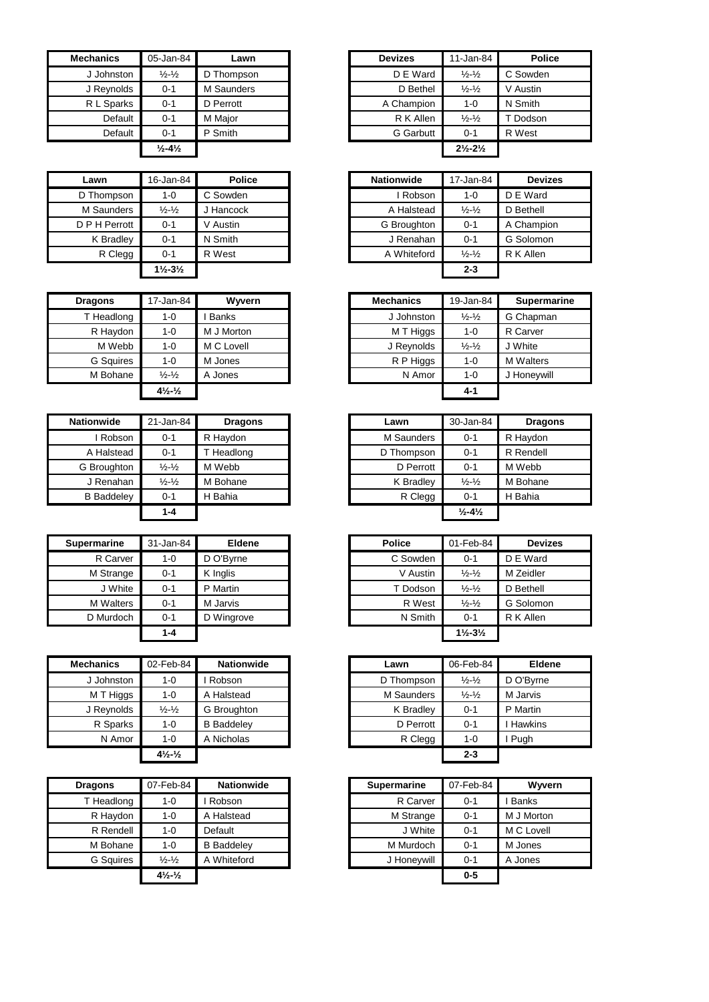| <b>Mechanics</b> | 05-Jan-84                    | Lawn       | <b>Devizes</b>   | 11-Jan-84                     | <b>Police</b> |
|------------------|------------------------------|------------|------------------|-------------------------------|---------------|
| J Johnston       | $\frac{1}{2} - \frac{1}{2}$  | D Thompson | D E Ward         | $\frac{1}{2} - \frac{1}{2}$   | C Sowden      |
| J Reynolds       | $0 - 1$                      | M Saunders | D Bethel         | $\frac{1}{2} - \frac{1}{2}$   | V Austin      |
| R L Sparks       | $0 - 1$                      | D Perrott  | A Champion       | $1 - 0$                       | N Smith       |
| Default          | $0 - 1$                      | M Maior    | R K Allen        | $\frac{1}{2} - \frac{1}{2}$   | Dodson        |
| Default          | $0 - 1$                      | P Smith    | <b>G</b> Garbutt | $0 - 1$                       | R West        |
|                  | $\frac{1}{2} - 4\frac{1}{2}$ |            |                  | $2\frac{1}{2} - 2\frac{1}{2}$ |               |

| Lawn          | 16-Jan-84                     | <b>Police</b> | <b>Nationwide</b> | 17-Jan-84                   |
|---------------|-------------------------------|---------------|-------------------|-----------------------------|
| D Thompson    | 1-0                           | C Sowden      | Robson            | 1-0                         |
| M Saunders    | $\frac{1}{2} - \frac{1}{2}$   | Hancock       | A Halstead        | $\frac{1}{2} - \frac{1}{2}$ |
| D P H Perrott | $0 - 1$                       | V Austin      | G Broughton       | $0 - 1$                     |
| K Bradley     | $0 - 1$                       | N Smith       | J Renahan         | $0 - 1$                     |
| R Clegg       | $0 - 1$                       | R West        | A Whiteford       | $\frac{1}{2} - \frac{1}{2}$ |
|               | $1\frac{1}{2} - 3\frac{1}{2}$ |               |                   | $2 - 3$                     |

| <b>Dragons</b> | 17-Jan-84                     | Wyvern     |
|----------------|-------------------------------|------------|
| T Headlong     | $1 - 0$                       | I Banks    |
| R Haydon       | $1 - 0$                       | M J Morton |
| M Webb         | $1 - 0$                       | M C Lovell |
| G Squires      | $1 - 0$                       | M Jones    |
| M Bohane       | $\frac{1}{2}$ - $\frac{1}{2}$ | A Jones    |
|                | $4\frac{1}{2}$ $\frac{1}{2}$  |            |

| <b>Nationwide</b> | 21-Jan-84                     | <b>Dragons</b> | Lawn       | 30-Jan-84                    | <b>Dragons</b> |
|-------------------|-------------------------------|----------------|------------|------------------------------|----------------|
| Robson            | $0 - 1$                       | R Haydon       | M Saunders | $0 - 1$                      | R Haydon       |
| A Halstead        | $0 - 1$                       | T Headlong     | D Thompson | $0 - 1$                      | R Rendell      |
| G Broughton       | $\frac{1}{2}$ - $\frac{1}{2}$ | M Webb         | D Perrott  | $0 - 1$                      | M Webb         |
| J Renahan         | $\frac{1}{2} - \frac{1}{2}$   | M Bohane       | K Bradlev  | $\frac{1}{2} - \frac{1}{2}$  | M Bohane       |
| <b>B</b> Baddelev | $0 - 1$                       | H Bahia        | R Clegg    | $0 - 1$                      | H Bahia        |
|                   | $1 - 4$                       |                |            | $\frac{1}{2} - 4\frac{1}{2}$ |                |

| <b>Supermarine</b> | 31-Jan-84 | <b>Eldene</b> | <b>Police</b> | 01-Feb-84                     | <b>Devizes</b> |
|--------------------|-----------|---------------|---------------|-------------------------------|----------------|
| R Carver           | 1-0       | D O'Byrne     | C Sowden      | $0 - 1$                       | D E Ward       |
| M Strange          | $0 - 1$   | K Inglis      | V Austin      | $\frac{1}{2} - \frac{1}{2}$   | M Zeidler      |
| J White            | $0 - 1$   | P Martin      | T Dodson      | $\frac{1}{2} - \frac{1}{2}$   | D Bethell      |
| <b>M</b> Walters   | $0 - 1$   | M Jarvis      | R West        | $\frac{1}{2} - \frac{1}{2}$   | G Solomon      |
| D Murdoch          | 0-1       | D Wingrove    | N Smith       | $0 - 1$                       | R K Allen      |
|                    | $1 - 4$   |               |               | $1\frac{1}{2} - 3\frac{1}{2}$ |                |

| <b>Mechanics</b> | 02-Feb-84                    | <b>Nationwide</b> | Lawn       | 06-Feb-84                   | <b>Eldene</b>  |
|------------------|------------------------------|-------------------|------------|-----------------------------|----------------|
| J Johnston       | $1 - 0$                      | Robson            | D Thompson | $\frac{1}{2} - \frac{1}{2}$ | D O'Bvrne      |
| M T Higgs        | $1 - 0$                      | A Halstead        | M Saunders | $\frac{1}{2} - \frac{1}{2}$ | M Jarvis       |
| J Reynolds       | $\frac{1}{2} - \frac{1}{2}$  | G Broughton       | K Bradley  | $0 - 1$                     | P Martin       |
| R Sparks         | $1 - 0$                      | <b>B</b> Baddelev | D Perrott  | $0 - 1$                     | <b>Hawkins</b> |
| N Amor           | $1 - 0$                      | A Nicholas        | R Clegg    | $1 - 0$                     | Pugh           |
|                  | $4\frac{1}{2}$ $\frac{1}{2}$ |                   |            | $2 - 3$                     |                |

| <b>Dragons</b>   | 07-Feb-84                    | <b>Nationwide</b> | <b>Supermarine</b> | 07-Feb-84 |
|------------------|------------------------------|-------------------|--------------------|-----------|
| T Headlong       | 1-0                          | Robson            | R Carver           | $0 - 1$   |
| R Haydon         | 1-0                          | Halstead<br>A     | M Strange          | $0 - 1$   |
| R Rendell        | $1 - 0$                      | Default           | J White            | $0 - 1$   |
| M Bohane         | $1 - 0$                      | <b>B</b> Baddelev | M Murdoch          | $0 - 1$   |
| <b>G</b> Sauires | $\frac{1}{2} - \frac{1}{2}$  | A Whiteford       | J Honeywill        | $0 - 1$   |
|                  | $4\frac{1}{2}$ $\frac{1}{2}$ |                   |                    | $0-5$     |

| hanics:    | 05-Jan-84                    | Lawn       | <b>Devizes</b>   | 11-Jan-84                     | <b>Police</b> |
|------------|------------------------------|------------|------------------|-------------------------------|---------------|
| J Johnston | $\frac{1}{2} - \frac{1}{2}$  | D Thompson | D E Ward         | $\frac{1}{2} - \frac{1}{2}$   | C Sowden      |
| J Reynolds | $0 - 1$                      | M Saunders | D Bethel         | $\frac{1}{2} - \frac{1}{2}$   | V Austin      |
| R L Sparks | $0 - 1$                      | D Perrott  | A Champion       | $1 - 0$                       | N Smith       |
| Default    | $0 - 1$                      | M Maior    | R K Allen        | $\frac{1}{2} - \frac{1}{2}$   | T Dodson      |
| Default    | $0 - 1$                      | P Smith    | <b>G</b> Garbutt | $0 - 1$                       | R West        |
|            | $\frac{1}{2} - 4\frac{1}{2}$ |            |                  | $2\frac{1}{2} - 2\frac{1}{2}$ |               |

| Lawn          | 16-Jan-84                     | <b>Police</b> | <b>Nationwide</b> | 17-Jan-84                   | <b>Devizes</b> |
|---------------|-------------------------------|---------------|-------------------|-----------------------------|----------------|
| D Thompson    | $1 - 0$                       | C Sowden      | . Robson          | $1 - 0$                     | D E Ward       |
| M Saunders    | $\frac{1}{2} - \frac{1}{2}$   | Hancock       | A Halstead        | $\frac{1}{2} - \frac{1}{2}$ | D Bethell      |
| D P H Perrott | $0 - 1$                       | V Austin      | G Broughton       | $0 - 1$                     | A Champion     |
| K Bradley     | $0 - 1$                       | N Smith       | J Renahan         | $0 - 1$                     | G Solomon      |
| R Clegg       | $0 - 1$                       | R West        | A Whiteford       | $\frac{1}{2} - \frac{1}{2}$ | R K Allen      |
|               | $1\frac{1}{2} - 3\frac{1}{2}$ |               |                   | $2 - 3$                     |                |

| <b>Dragons</b>   | 17-Jan-84                                   | Wyvern       |
|------------------|---------------------------------------------|--------------|
| T Headlong       | $1 - 0$                                     | <b>Banks</b> |
| R Haydon         | $1 - 0$                                     | M J Morton   |
| M Webb           | $1 - 0$                                     | M C Lovell   |
| <b>G</b> Sauires | $1 - 0$                                     | M Jones      |
| M Bohane         | $\frac{1}{2} - \frac{1}{2}$                 | A Jones      |
|                  | $4\frac{1}{2}$ <sup>-1</sup> / <sub>2</sub> |              |

| 21-Jan-84                     | <b>Dragons</b> | Lawn              | 30-Jan-84                     | <b>Dragons</b> |
|-------------------------------|----------------|-------------------|-------------------------------|----------------|
| $0 - 1$                       | R Haydon       | <b>M</b> Saunders | $0 - 1$                       | R Haydon       |
| $0 - 1$                       | Headlong       | D Thompson        | $0 - 1$                       | R Rendell      |
| $\frac{1}{2}$ - $\frac{1}{2}$ | M Webb         | D Perrott         | $0 - 1$                       | M Webb         |
| $\frac{1}{2}$ - $\frac{1}{2}$ | M Bohane       | K Bradley         | $\frac{1}{2}$ - $\frac{1}{2}$ | M Bohane       |
| $0 - 1$                       | H Bahia        | R Clegg           | $0 - 1$                       | H Bahia        |
| 1-4                           |                |                   | $\frac{1}{2} - 4\frac{1}{2}$  |                |
|                               |                |                   |                               |                |

| rmarine   | 31-Jan-84 | Eldene     | <b>Police</b> | 01-Feb-84                     | <b>Devizes</b> |
|-----------|-----------|------------|---------------|-------------------------------|----------------|
| R Carver  | 1-0       | D O'Byrne  | C Sowden      | $0 - 1$                       | D E Ward       |
| M Strange | $0 - 1$   | K Inglis   | V Austin      | $\frac{1}{2} - \frac{1}{2}$   | M Zeidler      |
| J White   | $0 - 1$   | P Martin   | T Dodson      | $\frac{1}{2} - \frac{1}{2}$   | D Bethell      |
| M Walters | $0 - 1$   | M Jarvis   | R West        | $\frac{1}{2} - \frac{1}{2}$   | G Solomon      |
| D Murdoch | $0 - 1$   | D Wingrove | N Smith       | $0 - 1$                       | R K Allen      |
|           | $1 - 4$   |            |               | $1\frac{1}{2} - 3\frac{1}{2}$ |                |

| :hanics    | 02-Feb-84                      | <b>Nationwide</b> | Lawn       | 06-Feb-84                   | <b>Eldene</b>  |
|------------|--------------------------------|-------------------|------------|-----------------------------|----------------|
| J Johnston | $1 - 0$                        | Robson            | D Thompson | $\frac{1}{2} - \frac{1}{2}$ | D O'Byrne      |
| M T Higgs  | $1-0$                          | A Halstead        | M Saunders | $\frac{1}{2} - \frac{1}{2}$ | M Jarvis       |
| J Reynolds | $\frac{1}{2} - \frac{1}{2}$    | G Broughton       | K Bradley  | $0 - 1$                     | P Martin       |
| R Sparks   | $1 - 0$                        | <b>B</b> Baddeley | D Perrott  | $0 - 1$                     | <b>Hawkins</b> |
| N Amor     | $1 - 0$                        | A Nicholas        | R Clegg    | $1 - 0$                     | Pugh           |
|            | $4\frac{1}{2}$ - $\frac{1}{2}$ |                   |            | $2 - 3$                     |                |

| qons      | 07-Feb-84                    | <b>Nationwide</b> | <b>Supermarine</b> | 07-Feb-84 | Wyvern       |
|-----------|------------------------------|-------------------|--------------------|-----------|--------------|
| Headlong  | 1-0                          | Robson            | R Carver           | $0 - 1$   | <b>Banks</b> |
| R Haydon  | 1-0                          | A Halstead        | M Strange          | $0 - 1$   | M J Morton   |
| R Rendell | 1-0                          | Default           | J White            | $0 - 1$   | M C Lovell   |
| M Bohane  | 1-0                          | <b>B</b> Baddeley | M Murdoch          | $0 - 1$   | M Jones      |
| G Squires | $\frac{1}{2} - \frac{1}{2}$  | A Whiteford       | J Honeywill        | $0 - 1$   | A Jones      |
|           | $4\frac{1}{2}$ $\frac{1}{2}$ |                   |                    | $0 - 5$   |              |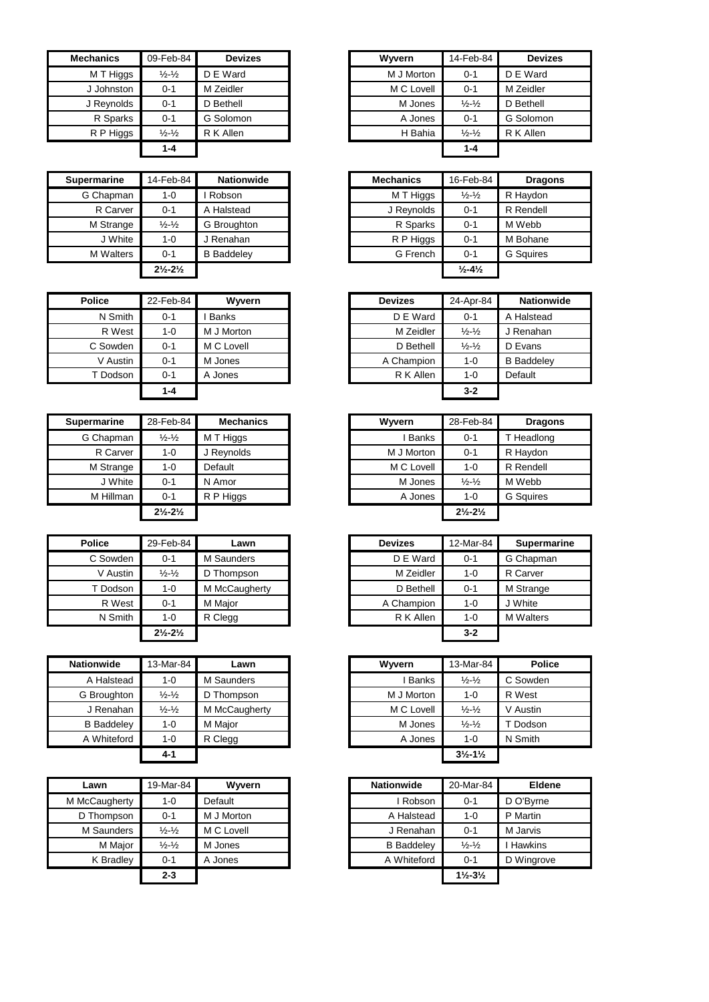| <b>Mechanics</b> | 09-Feb-84                     | <b>Devizes</b> | Wyvern     | 14-Feb-84                   | <b>Devizes</b> |
|------------------|-------------------------------|----------------|------------|-----------------------------|----------------|
| M T Higgs        | $\frac{1}{2}$ - $\frac{1}{2}$ | D E Ward       | M J Morton | $0 - 1$                     | D E Ward       |
| J Johnston       | $0 - 1$                       | M Zeidler      | M C Lovell | $0 - 1$                     | M Zeidler      |
| J Reynolds       | $0 - 1$                       | D Bethell      | M Jones    | $\frac{1}{2} - \frac{1}{2}$ | D Bethell      |
| R Sparks         | $0 - 1$                       | G Solomon      | A Jones    | $0 - 1$                     | G Solomon      |
| R P Higgs        | $\frac{1}{2}$ - $\frac{1}{2}$ | R K Allen      | H Bahia    | $\frac{1}{2} - \frac{1}{2}$ | R K Allen      |
|                  | $1 - 4$                       |                |            | $1 - 4$                     |                |

| <b>Supermarine</b> | 14-Feb-84                     | <b>Nationwide</b> | <b>Mechanics</b> | 16-Feb-84                    | <b>Dragons</b>   |
|--------------------|-------------------------------|-------------------|------------------|------------------------------|------------------|
| G Chapman          | $1 - 0$                       | Robson            | M T Higgs        | $\frac{1}{2} - \frac{1}{2}$  | R Havdon         |
| R Carver           | $0 - 1$                       | A Halstead        | J Reynolds       | $0 - 1$                      | R Rendell        |
| M Strange          | $\frac{1}{2}$ - $\frac{1}{2}$ | G Broughton       | R Sparks         | $0 - 1$                      | M Webb           |
| J White            | $1 - 0$                       | J Renahan         | R P Higgs        | $0 - 1$                      | M Bohane         |
| <b>M</b> Walters   | $0 - 1$                       | <b>B</b> Baddeley | G French         | $0 - 1$                      | <b>G</b> Sauires |
|                    | $2\frac{1}{2} - 2\frac{1}{2}$ |                   |                  | $\frac{1}{2} - 4\frac{1}{2}$ |                  |

| <b>Police</b> | 22-Feb-84 | Wyvern       | <b>Devizes</b> | 24-Apr-84                   | <b>Natio</b>   |
|---------------|-----------|--------------|----------------|-----------------------------|----------------|
| N Smith       | $0 - 1$   | <b>Banks</b> | D E Ward       | $0 - 1$                     | A Halste       |
| R West        | $1 - 0$   | M J Morton   | M Zeidler      | $\frac{1}{2} - \frac{1}{2}$ | J Renah        |
| C Sowden      | $0 - 1$   | M C Lovell   | D Bethell      | $\frac{1}{2} - \frac{1}{2}$ | D Evans        |
| V Austin      | $0 - 1$   | M Jones      | A Champion     | 1-0                         | <b>B</b> Badde |
| T Dodson      | $0 - 1$   | A Jones      | R K Allen      | 1-0                         | Default        |
|               | $1 - 4$   |              |                | $3 - 2$                     |                |

| <b>Supermarine</b> | 28-Feb-84                     | <b>Mechanics</b> | Wyvern     | 28-Feb-84                     |
|--------------------|-------------------------------|------------------|------------|-------------------------------|
| G Chapman          | $\frac{1}{2} - \frac{1}{2}$   | M T Higgs        | Banks      | $0 - 1$                       |
| R Carver           | $1 - 0$                       | J Reynolds       | M J Morton | $0 - 1$                       |
| M Strange          | $1 - 0$                       | Default          | M C Lovell | 1-0                           |
| J White            | $0 - 1$                       | N Amor           | M Jones    | $\frac{1}{2} - \frac{1}{2}$   |
| M Hillman          | $0 - 1$                       | R P Higgs        | A Jones    | $1 - 0$                       |
|                    | $2\frac{1}{2} - 2\frac{1}{2}$ |                  |            | $2\frac{1}{2} - 2\frac{1}{2}$ |

| <b>Police</b> | 29-Feb-84                     | Lawn          | <b>Devizes</b> | $12-Ma$ |
|---------------|-------------------------------|---------------|----------------|---------|
| C Sowden      | $0 - 1$                       | M Saunders    | D E Ward       | $0 - 1$ |
| V Austin      | $\frac{1}{2} - \frac{1}{2}$   | D Thompson    | M Zeidler      | $1 - 0$ |
| T Dodson      | 1-0                           | M McCaugherty | D Bethell      | $0 - 1$ |
| R West        | $0 - 1$                       | M Major       | A Champion     | $1 - 0$ |
| N Smith       | 1-0                           | R Clegg       | R K Allen      | $1 - 0$ |
|               | $2\frac{1}{2} - 2\frac{1}{2}$ |               |                | $3 - 2$ |

| <b>Nationwide</b> | 13-Mar-84                     | Lawn          | Wyvern     | 13-Mar-84                     | <b>Police</b> |
|-------------------|-------------------------------|---------------|------------|-------------------------------|---------------|
| A Halstead        | 1-0                           | M Saunders    | Banks      | $\frac{1}{2} - \frac{1}{2}$   | C Sowden      |
| G Broughton       | $\frac{1}{2} - \frac{1}{2}$   | D Thompson    | M J Morton | $1 - 0$                       | R West        |
| J Renahan         | $\frac{1}{2}$ - $\frac{1}{2}$ | M McCaugherty | M C Lovell | $\frac{1}{2} - \frac{1}{2}$   | V Austin      |
| <b>B</b> Baddeley | $1 - 0$                       | M Maior       | M Jones    | $\frac{1}{2} - \frac{1}{2}$   | Dodson        |
| A Whiteford       | $1 - 0$                       | R Clegg       | A Jones    | $1 - 0$                       | N Smith       |
|                   | 4-1                           |               |            | $3\frac{1}{2} - 1\frac{1}{2}$ |               |

| Lawn          | 19-Mar-84                   | Wyvern     | <b>Nationwide</b> | 20-Mar-84                     |           |
|---------------|-----------------------------|------------|-------------------|-------------------------------|-----------|
| M McCaugherty | 1-0                         | Default    | Robson            | $0 - 1$                       | D O'Byrne |
| D Thompson    | $0 - 1$                     | M J Morton | A Halstead        | $1 - 0$                       | P Martin  |
| M Saunders    | $\frac{1}{2} - \frac{1}{2}$ | M C Lovell | J Renahan         | $0 - 1$                       | M Jarvis  |
| M Major       | $\frac{1}{2} - \frac{1}{2}$ | M Jones    | <b>B</b> Baddelev | $\frac{1}{2} - \frac{1}{2}$   | Hawkins   |
| K Bradley     | $0 - 1$                     | A Jones    | A Whiteford       | $0 - 1$                       | D Wingroy |
|               | $2 - 3$                     |            |                   | $1\frac{1}{2} - 3\frac{1}{2}$ |           |

| hanics    | 09-Feb-84                     | <b>Devizes</b> | Wyvern     | 14-Feb-84                   | <b>Devizes</b> |
|-----------|-------------------------------|----------------|------------|-----------------------------|----------------|
| M T Higgs | $\frac{1}{2} - \frac{1}{2}$   | D E Ward       | M J Morton | $0 - 1$                     | D E Ward       |
| Johnston  | $0 - 1$                       | M Zeidler      | M C Lovell | $0 - 1$                     | M Zeidler      |
| Reynolds  | $0 - 1$                       | D Bethell      | M Jones    | $\frac{1}{2} - \frac{1}{2}$ | D Bethell      |
| R Sparks  | $0 - 1$                       | G Solomon      | A Jones    | $0 - 1$                     | G Solomon      |
| R P Higgs | $\frac{1}{2}$ - $\frac{1}{2}$ | R K Allen      | H Bahia    | $\frac{1}{2} - \frac{1}{2}$ | R K Allen      |
|           | $1 - 4$                       |                |            | $1 - 4$                     |                |

| rmarine   | 14-Feb-84                     | <b>Nationwide</b> | <b>Mechanics</b> | 16-Feb-84                    | <b>Dragons</b>   |
|-----------|-------------------------------|-------------------|------------------|------------------------------|------------------|
| Chapman   | 1-0                           | Robson            | M T Higgs        | $\frac{1}{2} - \frac{1}{2}$  | R Haydon         |
| R Carver  | $0 - 1$                       | A Halstead        | J Reynolds       | $0 - 1$                      | R Rendell        |
| M Strange | $\frac{1}{2} - \frac{1}{2}$   | G Broughton       | R Sparks         | $0 - 1$                      | M Webb           |
| J White   | 1-0                           | J Renahan         | R P Higgs        | $0 - 1$                      | M Bohane         |
| M Walters | $0 - 1$                       | <b>B</b> Baddeley | G French         | $0 - 1$                      | <b>G</b> Sauires |
|           | $2\frac{1}{2} - 2\frac{1}{2}$ |                   |                  | $\frac{1}{2} - 4\frac{1}{2}$ |                  |

| Police   | 22-Feb-84 | Wyvern       | <b>Devizes</b> | 24-Apr-84                   | <b>Nationwide</b> |
|----------|-----------|--------------|----------------|-----------------------------|-------------------|
| N Smith  | $0 - 1$   | <b>Banks</b> | D E Ward       | $0 - 1$                     | A Halstead        |
| R West   | $1 - 0$   | M J Morton   | M Zeidler      | $\frac{1}{2} - \frac{1}{2}$ | J Renahan         |
| C Sowden | $0 - 1$   | M C Lovell   | D Bethell      | $\frac{1}{2} - \frac{1}{2}$ | D Evans           |
| V Austin | $0 - 1$   | M Jones      | A Champion     | $1 - 0$                     | <b>B</b> Baddeley |
| T Dodson | $0 - 1$   | A Jones      | R K Allen      | $1 - 0$                     | Default           |
|          | $1 - 4$   |              |                | $3 - 2$                     |                   |

| <b>ermarine</b> | 28-Feb-84                     | <b>Mechanics</b> | Wyvern       | 28-Feb-84                     | <b>Dragons</b>   |
|-----------------|-------------------------------|------------------|--------------|-------------------------------|------------------|
| G Chapman       | $\frac{1}{2} - \frac{1}{2}$   | M T Higgs        | <b>Banks</b> | $0 - 1$                       | T Headlong       |
| R Carver        | $1 - 0$                       | J Reynolds       | M J Morton   | $0 - 1$                       | R Haydon         |
| M Strange       | $1 - 0$                       | Default          | M C Lovell   | $1 - 0$                       | R Rendell        |
| J White         | $0 - 1$                       | N Amor           | M Jones      | $\frac{1}{2} - \frac{1}{2}$   | M Webb           |
| M Hillman       | $0 - 1$                       | R P Higgs        | A Jones      | $1 - 0$                       | <b>G</b> Sauires |
|                 | $2\frac{1}{2} - 2\frac{1}{2}$ |                  |              | $2\frac{1}{2} - 2\frac{1}{2}$ |                  |

| Police   | 29-Feb-84                     | Lawn          | <b>Devizes</b> | 12-Mar-84 | <b>Supermarine</b> |
|----------|-------------------------------|---------------|----------------|-----------|--------------------|
| C Sowden | $0 - 1$                       | M Saunders    | D E Ward       | $0 - 1$   | G Chapman          |
| V Austin | $\frac{1}{2} - \frac{1}{2}$   | D Thompson    | M Zeidler      | $1 - 0$   | R Carver           |
| T Dodson | $1 - 0$                       | M McCaugherty | D Bethell      | $0 - 1$   | M Strange          |
| R West   | $0 - 1$                       | M Major       | A Champion     | 1-0       | J White            |
| N Smith  | 1-0                           | R Clegg       | R K Allen      | 1-0       | <b>M</b> Walters   |
|          | $2\frac{1}{2} - 2\frac{1}{2}$ |               |                | $3 - 2$   |                    |

| onwide           | 13-Mar-84                     | Lawn          | Wyvern     | 13-Mar-84                     | <b>Police</b> |
|------------------|-------------------------------|---------------|------------|-------------------------------|---------------|
| A Halstead       | $1 - 0$                       | M Saunders    | Banks      | $\frac{1}{2} - \frac{1}{2}$   | C Sowden      |
| <b>Broughton</b> | $\frac{1}{2}$ - $\frac{1}{2}$ | D Thompson    | M J Morton | $1 - 0$                       | R West        |
| J Renahan        | $\frac{1}{2} - \frac{1}{2}$   | M McCaugherty | M C Lovell | $\frac{1}{2} - \frac{1}{2}$   | V Austin      |
| <b>Baddelev</b>  | $1 - 0$                       | M Maior       | M Jones    | $\frac{1}{2} - \frac{1}{2}$   | T Dodson      |
| Whiteford        | $1 - 0$                       | R Clegg       | A Jones    | $1 - 0$                       | N Smith       |
|                  | 4-1                           |               |            | $3\frac{1}{2} - 1\frac{1}{2}$ |               |

| Lawn               | 19-Mar-84                   | Wyvern     | <b>Nationwide</b> | 20-Mar-84                     | <b>Eldene</b>  |
|--------------------|-----------------------------|------------|-------------------|-------------------------------|----------------|
| <b>IcCaugherty</b> | 1-0                         | Default    | Robson            | $0 - 1$                       | D O'Byrne      |
| ) Thompson         | $0 - 1$                     | M J Morton | A Halstead        | $1 - 0$                       | P Martin       |
| M Saunders         | $\frac{1}{2} - \frac{1}{2}$ | M C Lovell | J Renahan         | $0 - 1$                       | M Jarvis       |
| M Major            | $\frac{1}{2} - \frac{1}{2}$ | M Jones    | <b>B</b> Baddeley | $\frac{1}{2} - \frac{1}{2}$   | <b>Hawkins</b> |
| K Bradley          | $0 - 1$                     | A Jones    | A Whiteford       | $0 - 1$                       | D Wingrove     |
|                    | $2 - 3$                     |            |                   | $1\frac{1}{2} - 3\frac{1}{2}$ |                |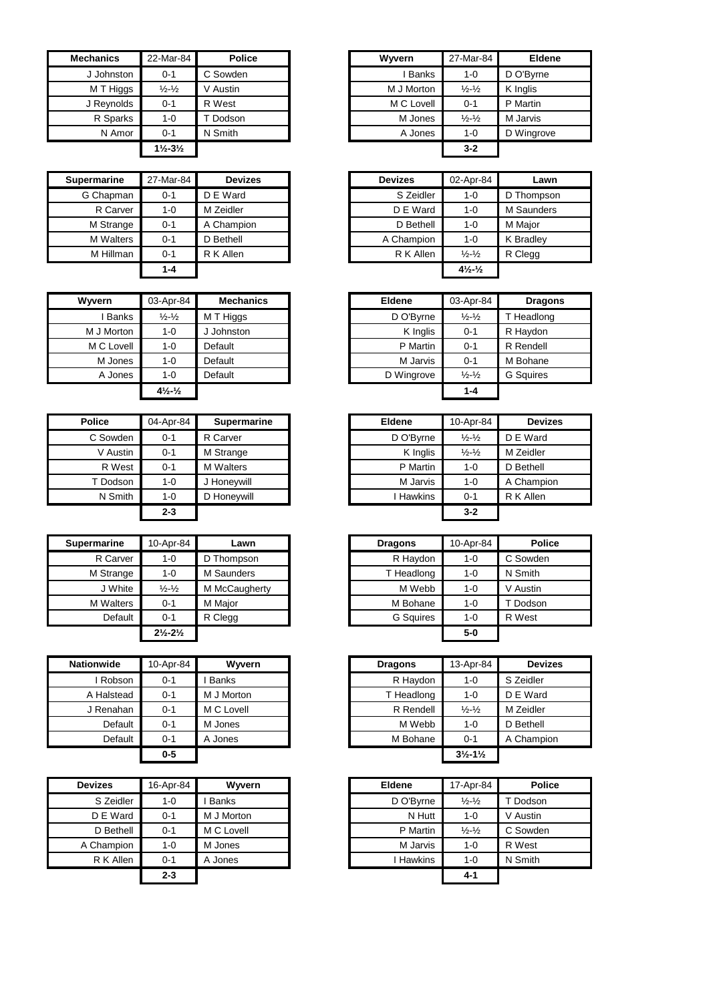| <b>Mechanics</b> | 22-Mar-84                     | <b>Police</b> | Wwern        | 27-Mar-84                     | Eldene     |
|------------------|-------------------------------|---------------|--------------|-------------------------------|------------|
| J Johnston       | $0 - 1$                       | C Sowden      | <b>Banks</b> | $1 - 0$                       | D O'Byrne  |
| M T Higgs        | $\frac{1}{2}$ - $\frac{1}{2}$ | V Austin      | M J Morton   | $\frac{1}{2}$ - $\frac{1}{2}$ | K Inglis   |
| J Reynolds       | $0 - 1$                       | R West        | M C Lovell   | $0 - 1$                       | P Martin   |
| R Sparks         | $1 - 0$                       | T Dodson      | M Jones      | $\frac{1}{2} - \frac{1}{2}$   | M Jarvis   |
| N Amor           | $0 - 1$                       | N Smith       | A Jones      | $1 - 0$                       | D Wingrove |
|                  | $1\frac{1}{2} - 3\frac{1}{2}$ |               |              | $3 - 2$                       |            |

| <b>Supermarine</b> | 27-Mar-84 | <b>Devizes</b> | <b>Devizes</b> | 02-Apr-84                                   |            |
|--------------------|-----------|----------------|----------------|---------------------------------------------|------------|
|                    |           |                |                |                                             | Lawn       |
| G Chapman          | $0 - 1$   | D E Ward       | S Zeidler      | $1 - 0$                                     | D Thompsor |
| R Carver           | 1-0       | M Zeidler      | D E Ward       | $1 - 0$                                     | M Saunders |
| M Strange          | $0 - 1$   | A Champion     | D Bethell      | $1 - 0$                                     | M Major    |
| <b>M</b> Walters   | $0 - 1$   | D Bethell      | A Champion     | $1 - 0$                                     | K Bradley  |
| M Hillman          | $0 - 1$   | R K Allen      | R K Allen      | $\frac{1}{2} - \frac{1}{2}$                 | R Clegg    |
|                    | 1-4       |                |                | $4\frac{1}{2}$ <sup>-1</sup> / <sub>2</sub> |            |

| Wyvern       | 03-Apr-84                      | <b>Mechanics</b> | <b>Eldene</b> | 03-Apr-84                     | Drag             |
|--------------|--------------------------------|------------------|---------------|-------------------------------|------------------|
| <b>Banks</b> | $\frac{1}{2} - \frac{1}{2}$    | M T Higgs        | D O'Byrne     | $\frac{1}{2} - \frac{1}{2}$   | T Headlor        |
| M J Morton   | $1 - 0$                        | J Johnston       | K Inglis      | $0 - 1$                       | R Haydon         |
| M C Lovell   | $1 - 0$                        | Default          | P Martin      | $0 - 1$                       | R Rendell        |
| M Jones      | $1 - 0$                        | Default          | M Jarvis      | $0 - 1$                       | M Bohane         |
| A Jones      | $1 - 0$                        | Default          | D Wingrove    | $\frac{1}{2}$ - $\frac{1}{2}$ | <b>G</b> Squires |
|              | $4\frac{1}{2}$ - $\frac{1}{2}$ |                  |               | $1 - 4$                       |                  |

| <b>Police</b> | 04-Apr-84 | <b>Supermarine</b> |
|---------------|-----------|--------------------|
| C Sowden      | $0 - 1$   | R Carver           |
| V Austin      | $0 - 1$   | M Strange          |
| R West        | $0 - 1$   | <b>M</b> Walters   |
| T Dodson      | $1 - 0$   | J Honeywill        |
| N Smith       | $1 - 0$   | D Honeywill        |
|               | $2 - 3$   |                    |

| <b>Supermarine</b> | 10-Apr-84                     | Lawn          | <b>Dragons</b>   | 10-Apr-84 | <b>Police</b> |
|--------------------|-------------------------------|---------------|------------------|-----------|---------------|
| R Carver           | 1-0                           | D Thompson    | R Haydon         | $1 - 0$   | C Sowden      |
| M Strange          | 1-0                           | M Saunders    | T Headlong       | $1 - 0$   | N Smith       |
| J White            | $\frac{1}{2} - \frac{1}{2}$   | M McCaugherty | M Webb           | $1 - 0$   | V Austin      |
| M Walters          | $0 - 1$                       | M Maior       | M Bohane         | $1 - 0$   | Dodson        |
| Default            | $0 - 1$                       | R Clegg       | <b>G</b> Squires | $1 - 0$   | R West        |
|                    | $2\frac{1}{2} - 2\frac{1}{2}$ |               |                  | $5-0$     |               |

| <b>Nationwide</b> | 10-Apr-84 | <b>Wyvern</b> | <b>Dragons</b> | 13-Apr-84                     | <b>Devizes</b> |
|-------------------|-----------|---------------|----------------|-------------------------------|----------------|
| Robson            | $0 - 1$   | <b>Banks</b>  | R Haydon       | $1 - 0$                       | S Zeidler      |
| A Halstead        | $0 - 1$   | M J Morton    | T Headlong     | $1 - 0$                       | D E Ward       |
| J Renahan         | $0 - 1$   | M C Lovell    | R Rendell      | $\frac{1}{2}$ - $\frac{1}{2}$ | M Zeidler      |
| Default           | $0 - 1$   | M Jones       | M Webb         | $1 - 0$                       | D Bethell      |
| Default           | 0-1       | A Jones       | M Bohane       | $0 - 1$                       | A Champion     |
|                   | 0-5       |               |                | $3\frac{1}{2} - 1\frac{1}{2}$ |                |

| <b>Devizes</b> | 16-Apr-84 | <b>Wyvern</b> | Eldene    | 17-Apr-84                   |          |
|----------------|-----------|---------------|-----------|-----------------------------|----------|
| S Zeidler      | $1 - 0$   | <b>Banks</b>  | D O'Byrne | $\frac{1}{2} - \frac{1}{2}$ | T Dodsc  |
| D E Ward       | $0 - 1$   | M J Morton    | N Hutt    | $1 - 0$                     | V Austin |
| D Bethell      | $0 - 1$   | M C Lovell    | P Martin  | $\frac{1}{2} - \frac{1}{2}$ | C Sowd   |
| A Champion     | $1 - 0$   | M Jones       | M Jarvis  | $1 - 0$                     | R West   |
| R K Allen      | $0 - 1$   | A Jones       | Hawkins   | $1 - 0$                     | N Smith  |
|                | $2 - 3$   |               |           | $4 - 1$                     |          |

| :hanics    | 22-Mar-84                     | <b>Police</b> | Wyvern       | 27-Mar-84                   | <b>Eldene</b> |
|------------|-------------------------------|---------------|--------------|-----------------------------|---------------|
| J Johnston | $0 - 1$                       | C Sowden      | <b>Banks</b> | $1 - 0$                     | D O'Byrne     |
| M T Higgs  | $\frac{1}{2} - \frac{1}{2}$   | V Austin      | M J Morton   | $\frac{1}{2} - \frac{1}{2}$ | K Inglis      |
| J Reynolds | $0 - 1$                       | R West        | M C Lovell   | $0 - 1$                     | P Martin      |
| R Sparks   | $1 - 0$                       | Dodson        | M Jones      | $\frac{1}{2} - \frac{1}{2}$ | M Jarvis      |
| N Amor     | $0 - 1$                       | N Smith       | A Jones      | $1 - 0$                     | D Wingrove    |
|            | $1\frac{1}{2} - 3\frac{1}{2}$ |               |              | $3 - 2$                     |               |

| <b>ermarine</b>  | 27-Mar-84 | <b>Devizes</b> | <b>Devizes</b> | 02-Apr-84                      | Lawn       |
|------------------|-----------|----------------|----------------|--------------------------------|------------|
| G Chapman        | $0 - 1$   | D E Ward       | S Zeidler      | 1-0                            | D Thompson |
| R Carver         | $1 - 0$   | M Zeidler      | D E Ward       | 1-0                            | M Saunders |
| M Strange        | $0 - 1$   | A Champion     | D Bethell      | 1-0                            | M Major    |
| <b>M</b> Walters | $0 - 1$   | D Bethell      | A Champion     | 1-0                            | K Bradley  |
| M Hillman        | $0 - 1$   | R K Allen      | R K Allen      | $\frac{1}{2} - \frac{1}{2}$    | R Clegg    |
|                  | $1 - 4$   |                |                | $4\frac{1}{2}$ - $\frac{1}{2}$ |            |

| Wvvern       | 03-Apr-84                      | <b>Mechanics</b> | <b>Eldene</b> | 03-Apr-84                   | <b>Dragons</b>   |
|--------------|--------------------------------|------------------|---------------|-----------------------------|------------------|
| <b>Banks</b> | $\frac{1}{2} - \frac{1}{2}$    | M T Higgs        | D O'Byrne     | $\frac{1}{2} - \frac{1}{2}$ | T Headlong       |
| M J Morton   | $1 - 0$                        | Johnston         | K Inglis      | $0 - 1$                     | R Haydon         |
| M C Lovell   | $1 - 0$                        | Default          | P Martin      | $0 - 1$                     | R Rendell        |
| M Jones      | $1 - 0$                        | Default          | M Jarvis      | $0 - 1$                     | M Bohane         |
| A Jones      | $1 - 0$                        | Default          | D Wingrove    | $\frac{1}{2} - \frac{1}{2}$ | <b>G</b> Sauires |
|              | $4\frac{1}{2}$ - $\frac{1}{2}$ |                  |               | $1 - 4$                     |                  |

| Police   | 04-Apr-84 | <b>Supermarine</b> | <b>Eldene</b> | 10-Apr-84                   | <b>Devizes</b> |
|----------|-----------|--------------------|---------------|-----------------------------|----------------|
| C Sowden | $0 - 1$   | R Carver           | D O'Byrne     | $\frac{1}{2} - \frac{1}{2}$ | D E Ward       |
| V Austin | $0 - 1$   | M Strange          | K Inglis      | $\frac{1}{2} - \frac{1}{2}$ | M Zeidler      |
| R West   | $0 - 1$   | <b>M</b> Walters   | P Martin      | $1 - 0$                     | D Bethell      |
| T Dodson | $1 - 0$   | J Honevwill        | M Jarvis      | $1 - 0$                     | A Champion     |
| N Smith  | $1 - 0$   | D Honeywill        | Hawkins       | $0 - 1$                     | R K Allen      |
|          | $2 - 3$   |                    |               | $3 - 2$                     |                |

| rmarine   | 10-Apr-84                     | Lawn          | <b>Dragons</b>   | 10-Apr-84 | <b>Police</b> |
|-----------|-------------------------------|---------------|------------------|-----------|---------------|
| R Carver  | 1-0                           | D Thompson    | R Haydon         | $1 - 0$   | C Sowden      |
| M Strange | 1-0                           | M Saunders    | T Headlong       | $1 - 0$   | N Smith       |
| J White   | $\frac{1}{2}$ - $\frac{1}{2}$ | M McCaugherty | M Webb           | $1 - 0$   | V Austin      |
| M Walters | $0 - 1$                       | M Major       | M Bohane         | $1 - 0$   | T Dodson      |
| Default   | $0 - 1$                       | R Clegg       | <b>G</b> Squires | $1 - 0$   | R West        |
|           | $2\frac{1}{2} - 2\frac{1}{2}$ |               |                  | $5-0$     |               |

| nwide    | 10-Apr-84 | Wyvern       | <b>Dragons</b> | 13-Apr-84                     | <b>Devizes</b> |
|----------|-----------|--------------|----------------|-------------------------------|----------------|
| Robson   | $0 - 1$   | <b>Banks</b> | R Haydon       | $1 - 0$                       | S Zeidler      |
| Halstead | $0 - 1$   | M J Morton   | T Headlong     | $1 - 0$                       | D E Ward       |
| Renahan  | $0 - 1$   | M C Lovell   | R Rendell      | $\frac{1}{2} - \frac{1}{2}$   | M Zeidler      |
| Default  | $0 - 1$   | M Jones      | M Webb         | $1 - 0$                       | D Bethell      |
| Default  | $0 - 1$   | A Jones      | M Bohane       | $0 - 1$                       | A Champion     |
|          | $0 - 5$   |              |                | $3\frac{1}{2} - 1\frac{1}{2}$ |                |

| <b>Devizes</b> | 16-Apr-84 | <b>Wyvern</b> | <b>Eldene</b> | 17-Apr-84                   | <b>Police</b> |
|----------------|-----------|---------------|---------------|-----------------------------|---------------|
| S Zeidler      | $1 - 0$   | <b>Banks</b>  | D O'Byrne     | $\frac{1}{2} - \frac{1}{2}$ | Dodson        |
| D E Ward       | $0 - 1$   | M J Morton    | N Hutt        | $1 - 0$                     | V Austin      |
| D Bethell      | $0 - 1$   | M C Lovell    | P Martin      | $\frac{1}{2} - \frac{1}{2}$ | C Sowden      |
| A Champion     | $1 - 0$   | M Jones       | M Jarvis      | $1 - 0$                     | R West        |
| R K Allen      | $0 - 1$   | A Jones       | Hawkins       | $1 - 0$                     | N Smith       |
|                | $2 - 3$   |               |               | $4 - 1$                     |               |